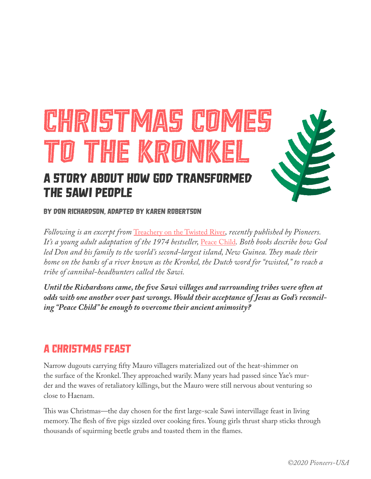# CHRISTMAS COMES to the Kronkel A Story about How God Transformed

# the Sawi People

By Don Richardson, adapted by Karen Robertson

*Following is an excerpt from* Treachery on the Twisted River*, recently published by Pioneers. It's a young adult adaptation of the 1974 bestseller,* Peace Child*. Both books describe how God led Don and his family to the world's second-largest island, New Guinea. They made their home on the banks of a river known as the Kronkel, the Dutch word for "twisted," to reach a tribe of cannibal-headhunters called the Sawi.*

*Until the Richardsons came, the five Sawi villages and surrounding tribes were often at odds with one another over past wrongs. Would their acceptance of Jesus as God's reconciling "Peace Child" be enough to overcome their ancient animosity?*

# A Christmas Feast

Narrow dugouts carrying fifty Mauro villagers materialized out of the heat-shimmer on the surface of the Kronkel. They approached warily. Many years had passed since Yae's murder and the waves of retaliatory killings, but the Mauro were still nervous about venturing so close to Haenam.

This was Christmas—the day chosen for the first large-scale Sawi intervillage feast in living memory. The flesh of five pigs sizzled over cooking fires. Young girls thrust sharp sticks through thousands of squirming beetle grubs and toasted them in the flames.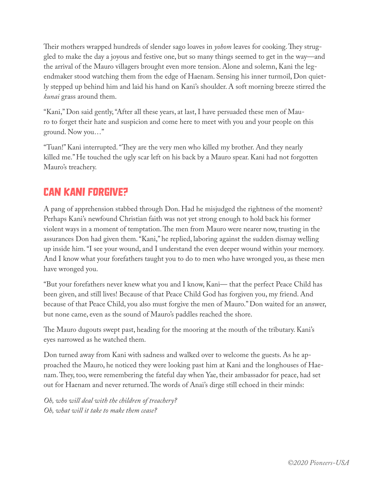Their mothers wrapped hundreds of slender sago loaves in *yohom* leaves for cooking. They struggled to make the day a joyous and festive one, but so many things seemed to get in the way—and the arrival of the Mauro villagers brought even more tension. Alone and solemn, Kani the legendmaker stood watching them from the edge of Haenam. Sensing his inner turmoil, Don quietly stepped up behind him and laid his hand on Kani's shoulder. A soft morning breeze stirred the *kunai* grass around them.

"Kani," Don said gently, "After all these years, at last, I have persuaded these men of Mauro to forget their hate and suspicion and come here to meet with you and your people on this ground. Now you…"

"Tuan!" Kani interrupted. "They are the very men who killed my brother. And they nearly killed me." He touched the ugly scar left on his back by a Mauro spear. Kani had not forgotten Mauro's treachery.

## Can Kani Forgive?

A pang of apprehension stabbed through Don. Had he misjudged the rightness of the moment? Perhaps Kani's newfound Christian faith was not yet strong enough to hold back his former violent ways in a moment of temptation. The men from Mauro were nearer now, trusting in the assurances Don had given them. "Kani," he replied, laboring against the sudden dismay welling up inside him. "I see your wound, and I understand the even deeper wound within your memory. And I know what your forefathers taught you to do to men who have wronged you, as these men have wronged you.

"But your forefathers never knew what you and I know, Kani— that the perfect Peace Child has been given, and still lives! Because of that Peace Child God has forgiven you, my friend. And because of that Peace Child, you also must forgive the men of Mauro." Don waited for an answer, but none came, even as the sound of Mauro's paddles reached the shore.

The Mauro dugouts swept past, heading for the mooring at the mouth of the tributary. Kani's eyes narrowed as he watched them.

Don turned away from Kani with sadness and walked over to welcome the guests. As he approached the Mauro, he noticed they were looking past him at Kani and the longhouses of Haenam. They, too, were remembering the fateful day when Yae, their ambassador for peace, had set out for Haenam and never returned. The words of Anai's dirge still echoed in their minds:

*Oh, who will deal with the children of treachery? Oh, what will it take to make them cease?*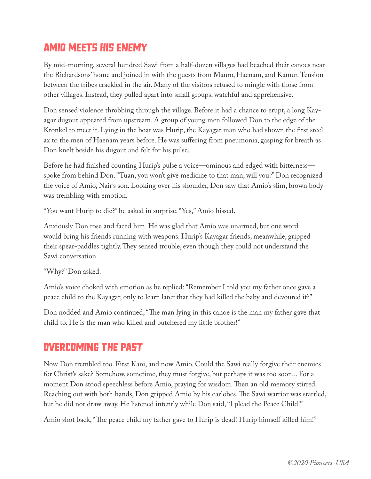# Amio Meets His Enemy

By mid-morning, several hundred Sawi from a half-dozen villages had beached their canoes near the Richardsons' home and joined in with the guests from Mauro, Haenam, and Kamur. Tension between the tribes crackled in the air. Many of the visitors refused to mingle with those from other villages. Instead, they pulled apart into small groups, watchful and apprehensive.

Don sensed violence throbbing through the village. Before it had a chance to erupt, a long Kayagar dugout appeared from upstream. A group of young men followed Don to the edge of the Kronkel to meet it. Lying in the boat was Hurip, the Kayagar man who had shown the first steel ax to the men of Haenam years before. He was suffering from pneumonia, gasping for breath as Don knelt beside his dugout and felt for his pulse.

Before he had finished counting Hurip's pulse a voice—ominous and edged with bitterness spoke from behind Don. "Tuan, you won't give medicine to that man, will you?" Don recognized the voice of Amio, Nair's son. Looking over his shoulder, Don saw that Amio's slim, brown body was trembling with emotion.

"You want Hurip to die?" he asked in surprise. "Yes," Amio hissed.

Anxiously Don rose and faced him. He was glad that Amio was unarmed, but one word would bring his friends running with weapons. Hurip's Kayagar friends, meanwhile, gripped their spear-paddles tightly. They sensed trouble, even though they could not understand the Sawi conversation.

"Why?" Don asked.

Amio's voice choked with emotion as he replied: "Remember I told you my father once gave a peace child to the Kayagar, only to learn later that they had killed the baby and devoured it?"

Don nodded and Amio continued, "The man lying in this canoe is the man my father gave that child to. He is the man who killed and butchered my little brother!"

#### Overcoming the Past

Now Don trembled too. First Kani, and now Amio. Could the Sawi really forgive their enemies for Christ's sake? Somehow, sometime, they must forgive, but perhaps it was too soon... For a moment Don stood speechless before Amio, praying for wisdom. Then an old memory stirred. Reaching out with both hands, Don gripped Amio by his earlobes. The Sawi warrior was startled, but he did not draw away. He listened intently while Don said, "I plead the Peace Child!"

Amio shot back, "The peace child my father gave to Hurip is dead! Hurip himself killed him!"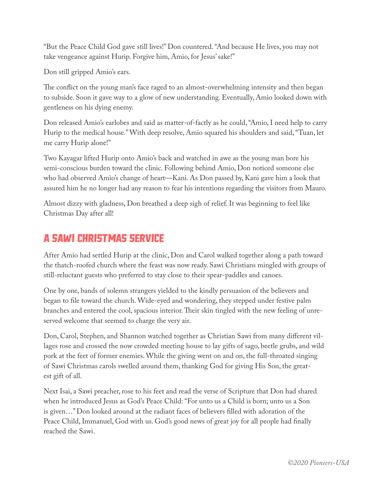"But the Peace Child God gave still lives!" Don countered. "And because He lives, you may not take vengeance against Hurip. Forgive him, Amio, for Jesus' sake!"

Don still gripped Amio's ears.

The conflict on the young man's face raged to an almost-overwhelming intensity and then began to subside. Soon it gave way to a glow of new understanding. Eventually, Amio looked down with gentleness on his dying enemy.

Don released Amio's earlobes and said as matter-of-factly as he could, "Amio, I need help to carry Hurip to the medical house." With deep resolve, Amio squared his shoulders and said, "Tuan, let me carry Hurip alone!"

Two Kayagar lifted Hurip onto Amio's back and watched in awe as the young man bore his semi-conscious burden toward the clinic. Following behind Amio, Don noticed someone else who had observed Amio's change of heart—Kani. As Don passed by, Kani gave him a look that assured him he no longer had any reason to fear his intentions regarding the visitors from Mauro.

Almost dizzy with gladness, Don breathed a deep sigh of relief. It was beginning to feel like Christmas Day after all!

## A Sawi Christmas Service

After Amio had settled Hurip at the clinic, Don and Carol walked together along a path toward the thatch-roofed church where the feast was now ready. Sawi Christians mingled with groups of still-reluctant guests who preferred to stay close to their spear-paddles and canoes.

One by one, bands of solemn strangers yielded to the kindly persuasion of the believers and began to file toward the church. Wide-eyed and wondering, they stepped under festive palm branches and entered the cool, spacious interior. Their skin tingled with the new feeling of unreserved welcome that seemed to charge the very air.

Don, Carol, Stephen, and Shannon watched together as Christian Sawi from many different villages rose and crossed the now crowded meeting house to lay gifts of sago, beetle grubs, and wild pork at the feet of former enemies. While the giving went on and on, the full-throated singing of Sawi Christmas carols swelled around them, thanking God for giving His Son, the greatest gift of all.

Next Isai, a Sawi preacher, rose to his feet and read the verse of Scripture that Don had shared when he introduced Jesus as God's Peace Child: "For unto us a Child is born; unto us a Son is given…" Don looked around at the radiant faces of believers filled with adoration of the Peace Child, Immanuel, God with us. God's good news of great joy for all people had finally reached the Sawi.